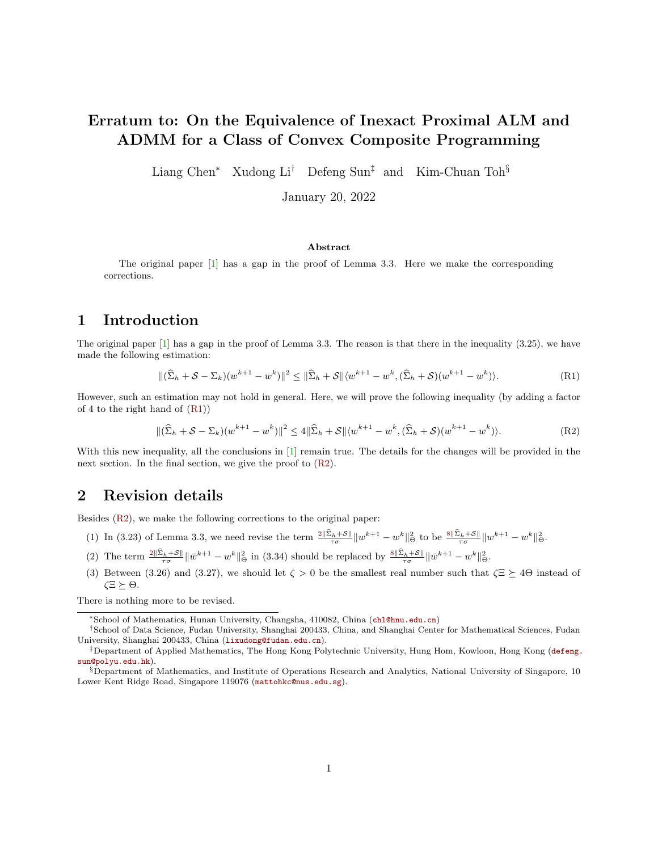# Erratum to: On the Equivalence of Inexact Proximal ALM and ADMM for a Class of Convex Composite Programming

Liang Chen<sup>∗</sup> Xudong Li<sup>†</sup> Defeng Sun<sup>‡</sup> and Kim-Chuan Toh<sup>§</sup>

January 20, 2022

#### Abstract

The original paper [\[1\]](#page-1-0) has a gap in the proof of Lemma 3.3. Here we make the corresponding corrections.

#### 1 Introduction

The original paper [\[1\]](#page-1-0) has a gap in the proof of Lemma 3.3. The reason is that there in the inequality (3.25), we have made the following estimation:

<span id="page-0-0"></span>
$$
\|(\widehat{\Sigma}_h + \mathcal{S} - \Sigma_k)(w^{k+1} - w^k)\|^2 \le \|\widehat{\Sigma}_h + \mathcal{S}\| \langle w^{k+1} - w^k, (\widehat{\Sigma}_h + \mathcal{S})(w^{k+1} - w^k) \rangle. \tag{R1}
$$

However, such an estimation may not hold in general. Here, we will prove the following inequality (by adding a factor of 4 to the right hand of  $(R1)$ )

$$
\|(\widehat{\Sigma}_h + \mathcal{S} - \Sigma_k)(w^{k+1} - w^k)\|^2 \le 4\|\widehat{\Sigma}_h + \mathcal{S}\|\langle w^{k+1} - w^k, (\widehat{\Sigma}_h + \mathcal{S})(w^{k+1} - w^k)\rangle.
$$
 (R2)

With this new inequality, all the conclusions in [\[1\]](#page-1-0) remain true. The details for the changes will be provided in the next section. In the final section, we give the proof to  $(R2)$ .

### 2 Revision details

Besides [\(R2\)](#page-0-0), we make the following corrections to the original paper:

- (1) In (3.23) of Lemma 3.3, we need revise the term  $\frac{2\|\Sigma_h+\mathcal{S}\|}{\tau\sigma}\|w^{k+1}-w^k\|_{\Theta}^2$  to be  $\frac{8\|\Sigma_h+\mathcal{S}\|}{\tau\sigma}\|w^{k+1}-w^k\|_{\Theta}^2$ .
- (2) The term  $\frac{2\|\Sigma_h+\mathcal{S}\|}{\tau\sigma}\|\bar{w}^{k+1}-w^k\|^2_{\Theta}$  in (3.34) should be replaced by  $\frac{8\|\Sigma_h+\mathcal{S}\|}{\tau\sigma}\|\bar{w}^{k+1}-w^k\|^2_{\Theta}$ .
- (3) Between (3.26) and (3.27), we should let  $\zeta > 0$  be the smallest real number such that  $\zeta \ge 4\Theta$  instead of  $\zeta \Xi \succeq \Theta$ .

There is nothing more to be revised.

<sup>∗</sup>School of Mathematics, Hunan University, Changsha, 410082, China (<chl@hnu.edu.cn>)

<sup>†</sup>School of Data Science, Fudan University, Shanghai 200433, China, and Shanghai Center for Mathematical Sciences, Fudan University, Shanghai 200433, China (<lixudong@fudan.edu.cn>).

<sup>‡</sup>Department of Applied Mathematics, The Hong Kong Polytechnic University, Hung Hom, Kowloon, Hong Kong ([defeng.](defeng.sun@polyu.edu.hk) [sun@polyu.edu.hk](defeng.sun@polyu.edu.hk)).

<sup>§</sup>Department of Mathematics, and Institute of Operations Research and Analytics, National University of Singapore, 10 Lower Kent Ridge Road, Singapore 119076 (<mattohkc@nus.edu.sg>).